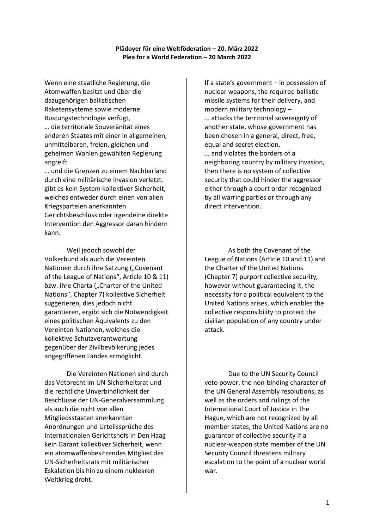### **Plädoyer für eine Weltföderation – 20. März 2022 Plea for a World Federation – 20 March 2022**

Wenn eine staatliche Regierung, die Atomwaffen besitzt und über die dazugehörigen ballistischen Raketensysteme sowie moderne Rüstungstechnologie verfügt, … die territoriale Souveränität eines anderen Staates mit einer in allgemeinen, unmittelbaren, freien, gleichen und geheimen Wahlen gewählten Regierung angreift

… und die Grenzen zu einem Nachbarland durch eine militärische Invasion verletzt, gibt es kein System kollektiver Sicherheit, welches entweder durch einen von allen Kriegsparteien anerkannten Gerichtsbeschluss oder irgendeine direkte Intervention den Aggressor daran hindern kann.

Weil jedoch sowohl der Völkerbund als auch die Vereinten Nationen durch ihre Satzung ("Covenant of the League of Nations", Article 10 & 11) bzw. ihre Charta ("Charter of the United Nations", Chapter 7) kollektive Sicherheit suggerieren, dies jedoch nicht garantieren, ergibt sich die Notwendigkeit eines politischen Äquivalents zu den Vereinten Nationen, welches die kollektive Schutzverantwortung gegenüber der Zivilbevölkerung jedes angegriffenen Landes ermöglicht.

Die Vereinten Nationen sind durch das Vetorecht im UN-Sicherheitsrat und die rechtliche Unverbindlichkeit der Beschlüsse der UN-Generalversammlung als auch die nicht von allen Mitgliedsstaaten anerkannten Anordnungen und Urteilssprüche des Internationalen Gerichtshofs in Den Haag kein Garant kollektiver Sicherheit, wenn ein atomwaffenbesitzendes Mitglied des UN-Sicherheitsrats mit militärischer Eskalation bis hin zu einem nuklearen Weltkrieg droht.

If a state's government – in possession of nuclear weapons, the required ballistic missile systems for their delivery, and modern military technology – … attacks the territorial sovereignty of another state, whose government has been chosen in a general, direct, free, equal and secret election, … and violates the borders of a

neighboring country by military invasion, then there is no system of collective security that could hinder the aggressor either through a court order recognized by all warring parties or through any direct intervention.

As both the Covenant of the League of Nations (Article 10 and 11) and the Charter of the United Nations (Chapter 7) purport collective security, however without guaranteeing it, the necessity for a political equivalent to the United Nations arises, which enables the collective responsibility to protect the civilian population of any country under attack.

Due to the UN Security Council veto power, the non-binding character of the UN General Assembly resolutions, as well as the orders and rulings of the International Court of Justice in The Hague, which are not recognized by all member states, the United Nations are no guarantor of collective security if a nuclear-weapon state member of the UN Security Council threatens military escalation to the point of a nuclear world war.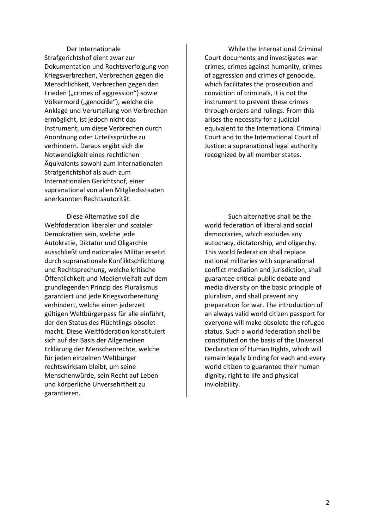Der Internationale Strafgerichtshof dient zwar zur Dokumentation und Rechtsverfolgung von Kriegsverbrechen, Verbrechen gegen die Menschlichkeit, Verbrechen gegen den Frieden ("crimes of aggression") sowie Völkermord ("genocide"), welche die Anklage und Verurteilung von Verbrechen ermöglicht, ist jedoch nicht das Instrument, um diese Verbrechen durch Anordnung oder Urteilssprüche zu verhindern. Daraus ergibt sich die Notwendigkeit eines rechtlichen Äquivalents sowohl zum Internationalen Strafgerichtshof als auch zum Internationalen Gerichtshof, einer supranational von allen Mitgliedsstaaten anerkannten Rechtsautorität.

Diese Alternative soll die Weltföderation liberaler und sozialer Demokratien sein, welche jede Autokratie, Diktatur und Oligarchie ausschließt und nationales Militär ersetzt durch supranationale Konfliktschlichtung und Rechtsprechung, welche kritische Öffentlichkeit und Medienvielfalt auf dem grundlegenden Prinzip des Pluralismus garantiert und jede Kriegsvorbereitung verhindert, welche einen jederzeit gültigen Weltbürgerpass für alle einführt, der den Status des Flüchtlings obsolet macht. Diese Weltföderation konstituiert sich auf der Basis der Allgemeinen Erklärung der Menschenrechte, welche für jeden einzelnen Weltbürger rechtswirksam bleibt, um seine Menschenwürde, sein Recht auf Leben und körperliche Unversehrtheit zu garantieren.

While the International Criminal Court documents and investigates war crimes, crimes against humanity, crimes of aggression and crimes of genocide, which facilitates the prosecution and conviction of criminals, it is not the instrument to prevent these crimes through orders and rulings. From this arises the necessity for a judicial equivalent to the International Criminal Court and to the International Court of Justice: a supranational legal authority recognized by all member states.

Such alternative shall be the world federation of liberal and social democracies, which excludes any autocracy, dictatorship, and oligarchy. This world federation shall replace national militaries with supranational conflict mediation and jurisdiction, shall guarantee critical public debate and media diversity on the basic principle of pluralism, and shall prevent any preparation for war. The introduction of an always valid world citizen passport for everyone will make obsolete the refugee status. Such a world federation shall be constituted on the basis of the Universal Declaration of Human Rights, which will remain legally binding for each and every world citizen to guarantee their human dignity, right to life and physical inviolability.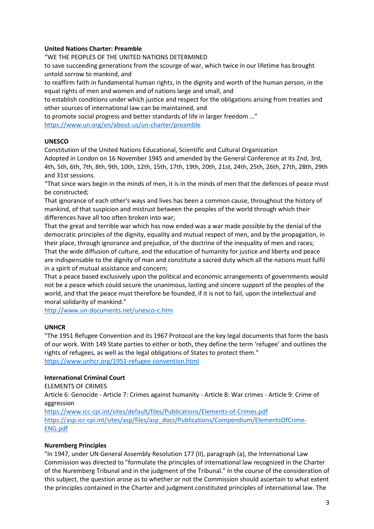# **United Nations Charter: Preamble**

"WE THE PEOPLES OF THE UNITED NATIONS DETERMINED

to save succeeding generations from the scourge of war, which twice in our lifetime has brought untold sorrow to mankind, and

to reaffirm faith in fundamental human rights, in the dignity and worth of the human person, in the equal rights of men and women and of nations large and small, and

to establish conditions under which justice and respect for the obligations arising from treaties and other sources of international law can be maintained, and

to promote social progress and better standards of life in larger freedom …"

<https://www.un.org/en/about-us/un-charter/preamble>

#### **UNESCO**

Constitution of the United Nations Educational, Scientific and Cultural Organization Adopted in London on 16 November 1945 and amended by the General Conference at its 2nd, 3rd, 4th, 5th, 6th, 7th, 8th, 9th, 10th, 12th, 15th, 17th, 19th, 20th, 21st, 24th, 25th, 26th, 27th, 28th, 29th and 31st sessions.

"That since wars begin in the minds of men, it is in the minds of men that the defences of peace must be constructed;

That ignorance of each other's ways and lives has been a common cause, throughout the history of mankind, of that suspicion and mistrust between the peoples of the world through which their differences have all too often broken into war;

That the great and terrible war which has now ended was a war made possible by the denial of the democratic principles of the dignity, equality and mutual respect of men, and by the propagation, in their place, through ignorance and prejudice, of the doctrine of the inequality of men and races; That the wide diffusion of culture, and the education of humanity for justice and liberty and peace are indispensable to the dignity of man and constitute a sacred duty which all the nations must fulfil in a spirit of mutual assistance and concern;

That a peace based exclusively upon the political and economic arrangements of governments would not be a peace which could secure the unanimous, lasting and sincere support of the peoples of the world, and that the peace must therefore be founded, if it is not to fail, upon the intellectual and moral solidarity of mankind."

<http://www.un-documents.net/unesco-c.htm>

#### **UNHCR**

"The 1951 Refugee Convention and its 1967 Protocol are the key legal documents that form the basis of our work. With 149 State parties to either or both, they define the term 'refugee' and outlines the rights of refugees, as well as the legal obligations of States to protect them." <https://www.unhcr.org/1951-refugee-convention.html>

#### **International Criminal Court**

ELEMENTS OF CRIMES

Article 6: Genocide - Article 7: Crimes against humanity - Article 8: War crimes - Article 9: Crime of aggression

<https://www.icc-cpi.int/sites/default/files/Publications/Elements-of-Crimes.pdf> [https://asp.icc-cpi.int/sites/asp/files/asp\\_docs/Publications/Compendium/ElementsOfCrime-](https://asp.icc-cpi.int/sites/asp/files/asp_docs/Publications/Compendium/ElementsOfCrime-ENG.pdf)[ENG.pdf](https://asp.icc-cpi.int/sites/asp/files/asp_docs/Publications/Compendium/ElementsOfCrime-ENG.pdf)

#### **Nuremberg Principles**

"In 1947, under UN General Assembly Resolution 177 (II), paragraph (a), the International Law Commission was directed to "formulate the principles of international law recognized in the Charter of the Nuremberg Tribunal and in the judgment of the Tribunal." In the course of the consideration of this subject, the question arose as to whether or not the Commission should ascertain to what extent the principles contained in the Charter and judgment constituted principles of international law. The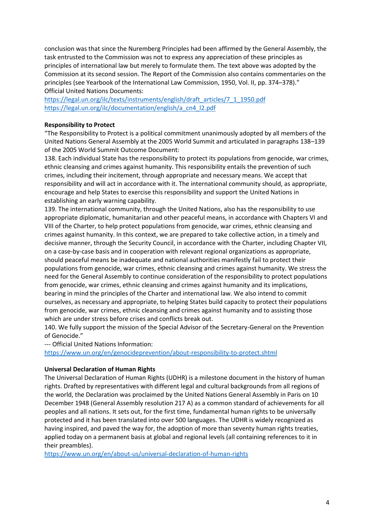conclusion was that since the Nuremberg Principles had been affirmed by the General Assembly, the task entrusted to the Commission was not to express any appreciation of these principles as principles of international law but merely to formulate them. The text above was adopted by the Commission at its second session. The Report of the Commission also contains commentaries on the principles (see Yearbook of the International Law Commission, 1950, Vol. II, pp. 374–378)." Official United Nations Documents:

[https://legal.un.org/ilc/texts/instruments/english/draft\\_articles/7\\_1\\_1950.pdf](https://legal.un.org/ilc/texts/instruments/english/draft_articles/7_1_1950.pdf) [https://legal.un.org/ilc/documentation/english/a\\_cn4\\_l2.pdf](https://legal.un.org/ilc/documentation/english/a_cn4_l2.pdf)

### **Responsibility to Protect**

"The Responsibility to Protect is a political commitment unanimously adopted by all members of the United Nations General Assembly at the 2005 World Summit and articulated in paragraphs 138–139 of the 2005 World Summit Outcome Document:

138. Each individual State has the responsibility to protect its populations from genocide, war crimes, ethnic cleansing and crimes against humanity. This responsibility entails the prevention of such crimes, including their incitement, through appropriate and necessary means. We accept that responsibility and will act in accordance with it. The international community should, as appropriate, encourage and help States to exercise this responsibility and support the United Nations in establishing an early warning capability.

139. The international community, through the United Nations, also has the responsibility to use appropriate diplomatic, humanitarian and other peaceful means, in accordance with Chapters VI and VIII of the Charter, to help protect populations from genocide, war crimes, ethnic cleansing and crimes against humanity. In this context, we are prepared to take collective action, in a timely and decisive manner, through the Security Council, in accordance with the Charter, including Chapter VII, on a case-by-case basis and in cooperation with relevant regional organizations as appropriate, should peaceful means be inadequate and national authorities manifestly fail to protect their populations from genocide, war crimes, ethnic cleansing and crimes against humanity. We stress the need for the General Assembly to continue consideration of the responsibility to protect populations from genocide, war crimes, ethnic cleansing and crimes against humanity and its implications, bearing in mind the principles of the Charter and international law. We also intend to commit ourselves, as necessary and appropriate, to helping States build capacity to protect their populations from genocide, war crimes, ethnic cleansing and crimes against humanity and to assisting those which are under stress before crises and conflicts break out.

140. We fully support the mission of the Special Advisor of the Secretary-General on the Prevention of Genocide."

--- Official United Nations Information:

<https://www.un.org/en/genocideprevention/about-responsibility-to-protect.shtml>

#### **Universal Declaration of Human Rights**

The Universal Declaration of Human Rights (UDHR) is a milestone document in the history of human rights. Drafted by representatives with different legal and cultural backgrounds from all regions of the world, the Declaration was proclaimed by the United Nations General Assembly in Paris on 10 December 1948 (General Assembly resolution 217 A) as a common standard of achievements for all peoples and all nations. It sets out, for the first time, fundamental human rights to be universally protected and it has been translated into over 500 languages. The UDHR is widely recognized as having inspired, and paved the way for, the adoption of more than seventy human rights treaties, applied today on a permanent basis at global and regional levels (all containing references to it in their preambles).

<https://www.un.org/en/about-us/universal-declaration-of-human-rights>